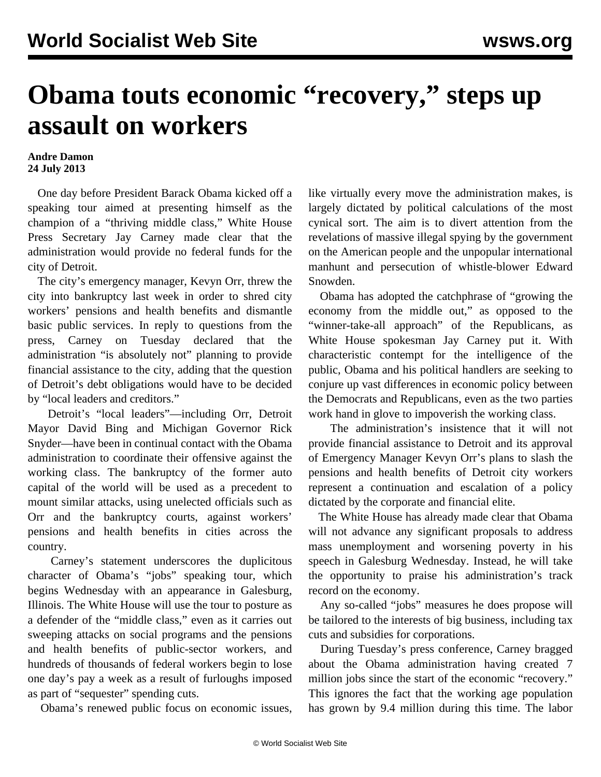## **Obama touts economic "recovery," steps up assault on workers**

## **Andre Damon 24 July 2013**

 One day before President Barack Obama kicked off a speaking tour aimed at presenting himself as the champion of a "thriving middle class," White House Press Secretary Jay Carney made clear that the administration would provide no federal funds for the city of Detroit.

 The city's emergency manager, Kevyn Orr, threw the city into bankruptcy last week in order to shred city workers' pensions and health benefits and dismantle basic public services. In reply to questions from the press, Carney on Tuesday declared that the administration "is absolutely not" planning to provide financial assistance to the city, adding that the question of Detroit's debt obligations would have to be decided by "local leaders and creditors."

 Detroit's "local leaders"—including Orr, Detroit Mayor David Bing and Michigan Governor Rick Snyder—have been in continual contact with the Obama administration to coordinate their offensive against the working class. The bankruptcy of the former auto capital of the world will be used as a precedent to mount similar attacks, using unelected officials such as Orr and the bankruptcy courts, against workers' pensions and health benefits in cities across the country.

 Carney's statement underscores the duplicitous character of Obama's "jobs" speaking tour, which begins Wednesday with an appearance in Galesburg, Illinois. The White House will use the tour to posture as a defender of the "middle class," even as it carries out sweeping attacks on social programs and the pensions and health benefits of public-sector workers, and hundreds of thousands of federal workers begin to lose one day's pay a week as a result of furloughs imposed as part of "sequester" spending cuts.

Obama's renewed public focus on economic issues,

like virtually every move the administration makes, is largely dictated by political calculations of the most cynical sort. The aim is to divert attention from the revelations of massive illegal spying by the government on the American people and the unpopular international manhunt and persecution of whistle-blower Edward Snowden.

 Obama has adopted the catchphrase of "growing the economy from the middle out," as opposed to the "winner-take-all approach" of the Republicans, as White House spokesman Jay Carney put it. With characteristic contempt for the intelligence of the public, Obama and his political handlers are seeking to conjure up vast differences in economic policy between the Democrats and Republicans, even as the two parties work hand in glove to impoverish the working class.

 The administration's insistence that it will not provide financial assistance to Detroit and its approval of Emergency Manager Kevyn Orr's plans to slash the pensions and health benefits of Detroit city workers represent a continuation and escalation of a policy dictated by the corporate and financial elite.

 The White House has already made clear that Obama will not advance any significant proposals to address mass unemployment and worsening poverty in his speech in Galesburg Wednesday. Instead, he will take the opportunity to praise his administration's track record on the economy.

 Any so-called "jobs" measures he does propose will be tailored to the interests of big business, including tax cuts and subsidies for corporations.

 During Tuesday's press conference, Carney bragged about the Obama administration having created 7 million jobs since the start of the economic "recovery." This ignores the fact that the working age population has grown by 9.4 million during this time. The labor